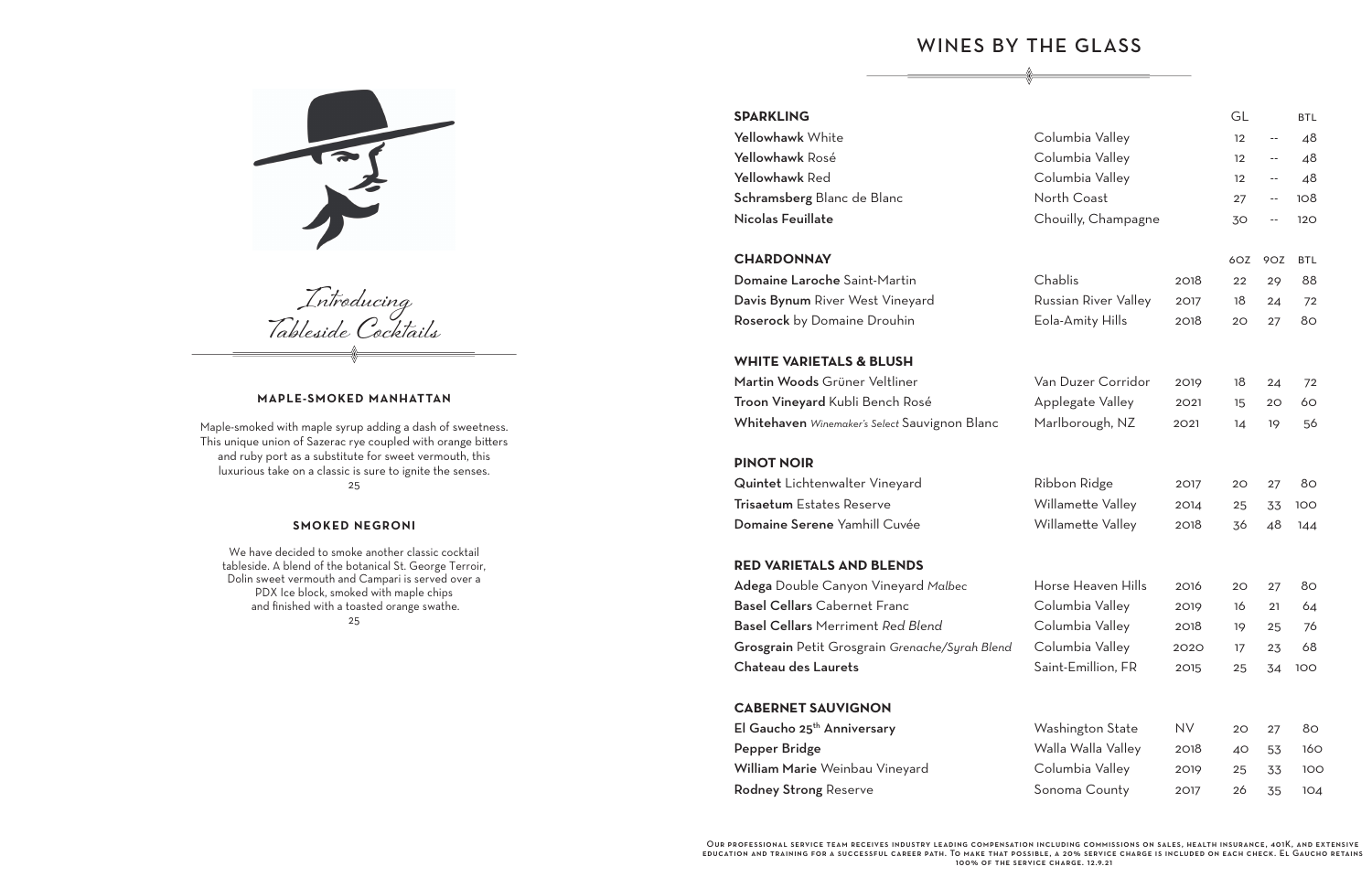# WINES BY THE GLASS

## **WHITE VARIETALS & BLUSH**

#### **PINOT NOIR**

#### **RED VARIETALS AND BLENDS**

### **CABERNET SAUVIGNON**

| <b>SPARKLING</b>                               |                      |                   | GL                       |                            | <b>BTL</b> |
|------------------------------------------------|----------------------|-------------------|--------------------------|----------------------------|------------|
| Yellowhawk White                               | Columbia Valley      |                   | 12                       | $\overline{\phantom{a}}$   | 48         |
| Yellowhawk Rosé                                | Columbia Valley      | $12 \overline{ }$ | $\overline{\phantom{m}}$ | 48                         |            |
| Yellowhawk Red                                 | Columbia Valley      |                   | $12 \,$                  | $-$                        | 48         |
| Schramsberg Blanc de Blanc                     | North Coast          |                   | 27                       | $\overline{\phantom{a}}$ . | 108        |
| Nicolas Feuillate                              | Chouilly, Champagne  |                   | 30                       | $-$                        | 120        |
| <b>CHARDONNAY</b>                              |                      |                   | 6OZ                      | 9OZ                        | <b>BTL</b> |
| Domaine Laroche Saint-Martin                   | Chablis              | 2018              | 22                       | 29                         | 88         |
| Davis Bynum River West Vineyard                | Russian River Valley | 2017              | 18                       | 24                         | 72         |
| Roserock by Domaine Drouhin                    | Eola-Amity Hills     | 2018              | 20                       | 27                         | 80         |
| <b>WHITE VARIETALS &amp; BLUSH</b>             |                      |                   |                          |                            |            |
| Martin Woods Grüner Veltliner                  | Van Duzer Corridor   | 2019              | 18                       | 24                         | 72         |
| Troon Vineyard Kubli Bench Rosé                | Applegate Valley     | 2021              | 15                       | 20                         | 60         |
| Whitehaven Winemaker's Select Sauvignon Blanc  | Marlborough, NZ      | 2021              | 14                       | 19                         | 56         |
| <b>PINOT NOIR</b>                              |                      |                   |                          |                            |            |
| Quintet Lichtenwalter Vineyard                 | Ribbon Ridge         | 2017              | 20                       | 27                         | 80         |
| <b>Trisaetum</b> Estates Reserve               | Willamette Valley    | 2014              | 25                       | 33                         | 100        |
| Domaine Serene Yamhill Cuvée                   | Willamette Valley    | 2018              | 36                       | 48                         | 144        |
| <b>RED VARIETALS AND BLENDS</b>                |                      |                   |                          |                            |            |
| Adega Double Canyon Vineyard Malbec            | Horse Heaven Hills   | 2016              | 20                       | 27                         | 80         |
| <b>Basel Cellars Cabernet Franc</b>            | Columbia Valley      | 2019              | 16                       | 21                         | 64         |
| <b>Basel Cellars Merriment Red Blend</b>       | Columbia Valley      | 2018              | 19                       | 25                         | 76         |
| Grosgrain Petit Grosgrain Grenache/Syrah Blend | Columbia Valley      | 2020              | 17                       | 23                         | 68         |
| <b>Chateau des Laurets</b>                     | Saint-Emillion, FR   | 2015              | 25                       | 34                         | 100        |
| <b>CABERNET SAUVIGNON</b>                      |                      |                   |                          |                            |            |
| El Gaucho 25 <sup>th</sup> Anniversary         | Washington State     | <b>NV</b>         | 20                       | 27                         | 80         |
| Pepper Bridge                                  | Walla Walla Valley   | 2018              | 40                       | 53                         | 160        |
| William Marie Weinbau Vineyard                 | Columbia Valley      | 2019              | 25                       | 33                         | 100        |
| <b>Rodney Strong Reserve</b>                   | Sonoma County        | 2017              | 26                       | 35                         | 104        |



**Introducing Tableside Cocktails**

#### **MAPLE -SMOKED MANHATTAN**

Maple-smoked with maple syrup adding a dash of sweetness. This unique union of Sazerac rye coupled with orange bitters and ruby port as a substitute for sweet vermouth, this luxurious take on a classic is sure to ignite the senses. 25

#### **SMOKED NEGRONI**

We have decided to smoke another classic cocktail tableside. A blend of the botanical St. George Terroir, Dolin sweet vermouth and Campari is served over a PDX Ice block, smoked with maple chips and finished with a toasted orange swathe. 25

#### **SPARKLING**

## **CHARDONNAY**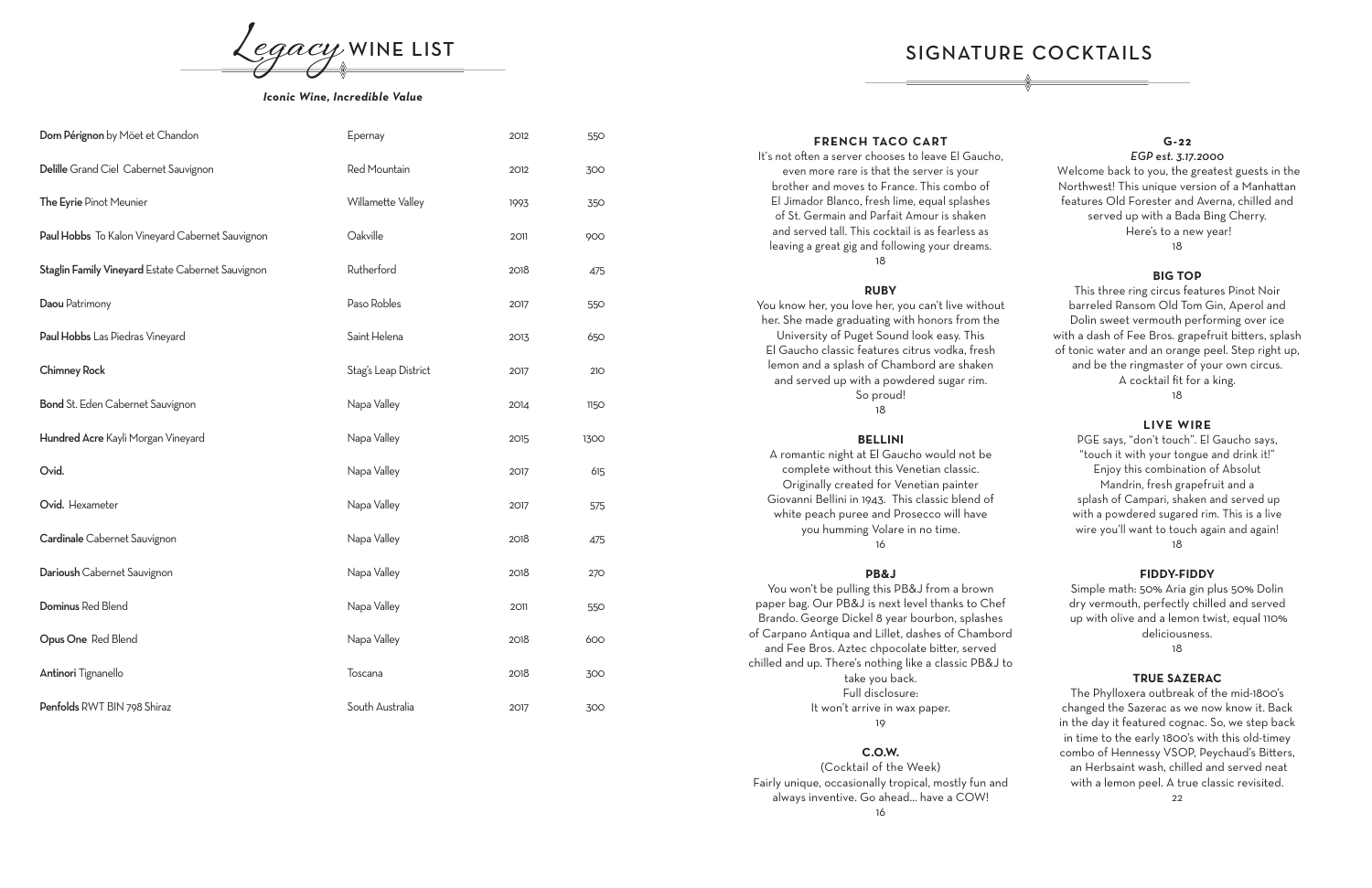| Dom Pérignon by Möet et Chandon                   | Epernay              | 2012 | 550  |
|---------------------------------------------------|----------------------|------|------|
| Delille Grand Ciel Cabernet Sauvignon             | Red Mountain         | 2012 | 300  |
| The Eyrie Pinot Meunier                           | Willamette Valley    | 1993 | 350  |
| Paul Hobbs To Kalon Vineyard Cabernet Sauvignon   | Oakville             | 2011 | 900  |
| Staglin Family Vineyard Estate Cabernet Sauvignon | Rutherford           | 2018 | 475  |
| Daou Patrimony                                    | Paso Robles          | 2017 | 550  |
| Paul Hobbs Las Piedras Vineyard                   | Saint Helena         | 2013 | 650  |
| <b>Chimney Rock</b>                               | Stag's Leap District | 2017 | 210  |
| Bond St. Eden Cabernet Sauvignon                  | Napa Valley          | 2014 | 1150 |
| Hundred Acre Kayli Morgan Vineyard                | Napa Valley          | 2015 | 1300 |
| Ovid.                                             | Napa Valley          | 2017 | 615  |
| Ovid. Hexameter                                   | Napa Valley          | 2017 | 575  |
| Cardinale Cabernet Sauvignon                      | Napa Valley          | 2018 | 475  |
| Darioush Cabernet Sauvignon                       | Napa Valley          | 2018 | 270  |
| Dominus Red Blend                                 | Napa Valley          | 2011 | 550  |
| Opus One Red Blend                                | Napa Valley          | 2018 | 600  |
| Antinori Tignanello                               | Toscana              | 2018 | 300  |
| Penfolds RWT BIN 798 Shiraz                       | South Australia      | 2017 | 300  |



#### *Iconic Wine, Incredible Value*

#### **FRENCH TACO CART**

It's not often a server chooses to leave El Gaucho, even more rare is that the server is your brother and moves to France. This combo of El Jimador Blanco, fresh lime, equal splashes of St. Germain and Parfait Amour is shaken and served tall. This cocktail is as fearless as leaving a great gig and following your dreams. 18

#### **RUBY**

You know her, you love her, you can't live without her. She made graduating with honors from the University of Puget Sound look easy. This El Gaucho classic features citrus vodka, fresh lemon and a splash of Chambord are shaken and served up with a powdered sugar rim. So proud! 18

## **BELLINI**

A romantic night at El Gaucho would not be complete without this Venetian classic. Originally created for Venetian painter Giovanni Bellini in 1943. This classic blend of white peach puree and Prosecco will have you humming Volare in no time. 16

#### **PB&J**

You won't be pulling this PB&J from a brown paper bag. Our PB&J is next level thanks to Chef Brando. George Dickel 8 year bourbon, splashes of Carpano Antiqua and Lillet, dashes of Chambord and Fee Bros. Aztec chpocolate bitter, served chilled and up. There's nothing like a classic PB&J to take you back. Full disclosure: It won't arrive in wax paper.

#### 19

#### **C.O.W.**

(Cocktail of the Week) Fairly unique, occasionally tropical, mostly fun and always inventive. Go ahead... have a COW!

16

#### **G -22**

#### *EGP est. 3.17.2000*

Welcome back to you, the greatest guests in the Northwest! This unique version of a Manhattan features Old Forester and Averna, chilled and served up with a Bada Bing Cherry. Here's to a new year! 18

#### **BIG TOP**

This three ring circus features Pinot Noir barreled Ransom Old Tom Gin, Aperol and Dolin sweet vermouth performing over ice with a dash of Fee Bros. grapefruit bitters, splash of tonic water and an orange peel. Step right up, and be the ringmaster of your own circus. A cocktail fit for a king*.*

18

#### **LIVE WIRE**

PGE says, "don't touch". El Gaucho says, "touch it with your tongue and drink it!" Enjoy this combination of Absolut Mandrin, fresh grapefruit and a splash of Campari, shaken and served up with a powdered sugared rim. This is a live wire you'll want to touch again and again! 18

#### **FIDDY-FIDDY**

Simple math: 50% Aria gin plus 50% Dolin dry vermouth, perfectly chilled and served up with olive and a lemon twist, equal 110% deliciousness.

18

### **TRUE SAZERAC**

The Phylloxera outbreak of the mid-1800's changed the Sazerac as we now know it. Back in the day it featured cognac. So, we step back in time to the early 1800's with this old-timey combo of Hennessy VSOP, Peychaud's Bitters, an Herbsaint wash, chilled and served neat with a lemon peel. A true classic revisited.

SIGNATURE COCKTAILS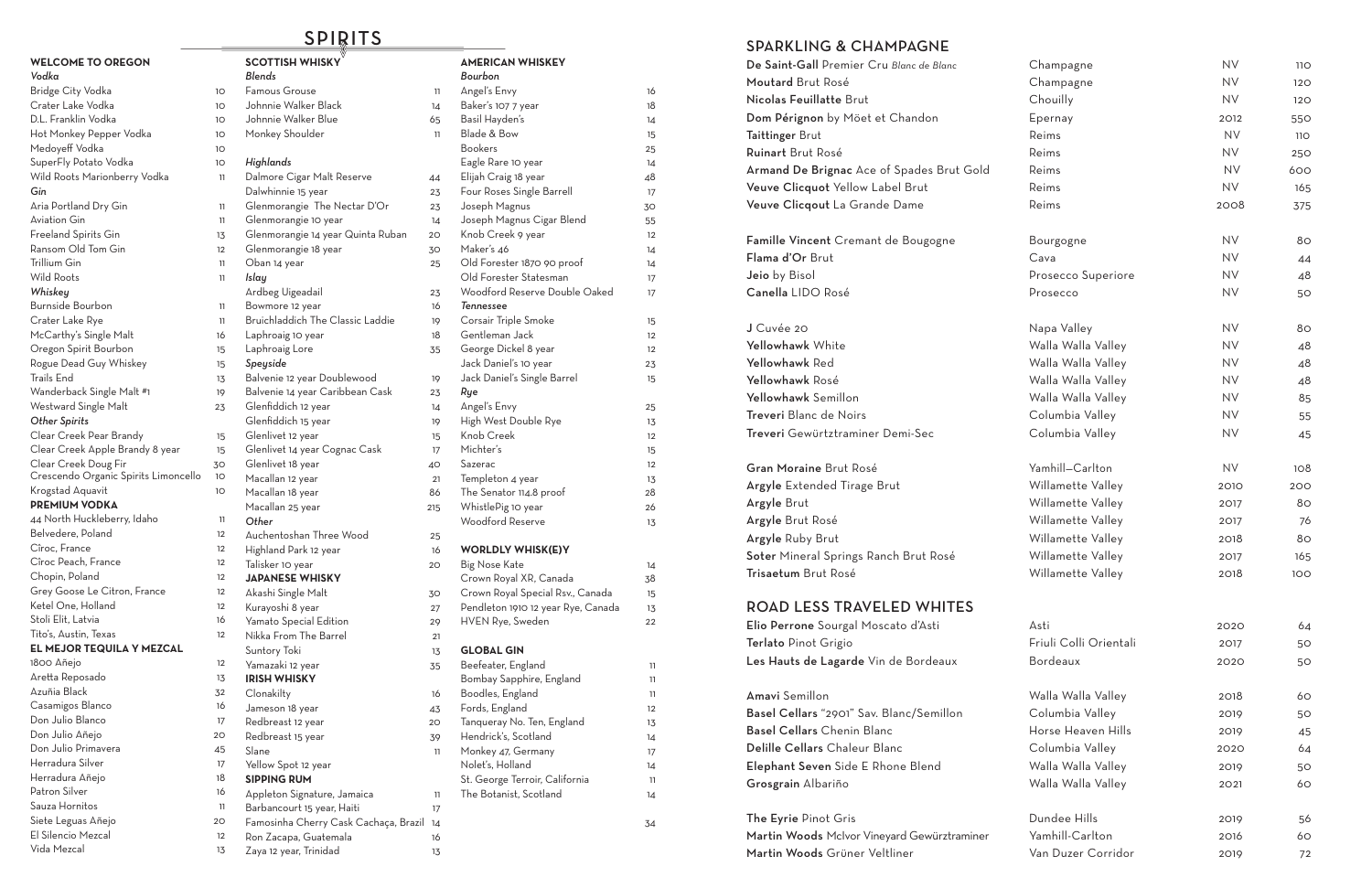## SPARKLING & CHAMPAGNE

| De Saint-Gall Premier Cru Blanc de Blanc<br>Moutard Brut Rosé<br>Nicolas Feuillatte Brut<br>Dom Pérignon by Möet et Chandon<br><b>Taittinger Brut</b><br><b>Ruinart</b> Brut Rosé<br>Armand De Brignac Ace of Spades Brut Gold<br>Veuve Clicquot Yellow Label Brut<br>Veuve Clicqout La Grande Dame |
|-----------------------------------------------------------------------------------------------------------------------------------------------------------------------------------------------------------------------------------------------------------------------------------------------------|
| Famille Vincent Cremant de Bougogne<br>Flama d'Or Brut<br>Jeio by Bisol<br>Canella LIDO Rosé                                                                                                                                                                                                        |
| J Cuvée 20<br>Yellowhawk White<br>Yellowhawk Red<br>Yellowhawk Rosé<br>Yellowhawk Semillon<br><b>Treveri</b> Blanc de Noirs<br>Treveri Gewürtztraminer Demi-Sec                                                                                                                                     |
| <b>Gran Moraine Brut Rosé</b><br><b>Argyle</b> Extended Tirage Brut<br>Argyle Brut<br>Argyle Brut Rosé<br><b>Argyle Ruby Brut</b><br>Soter Mineral Springs Ranch Brut Rosé<br><b>Trisaetum</b> Brut Rosé                                                                                            |
| ROAD LESS TRAVELED WHITES<br>Elio Perrone Sourgal Moscato d'Asti<br>Terlato Pinot Grigio<br>Les Hauts de Lagarde Vin de Bordeaux                                                                                                                                                                    |
| Amavi Semillon<br>Basel Cellars "2901" Sav. Blanc/Semillon<br><b>Basel Cellars Chenin Blanc</b><br>Delille Cellars Chaleur Blanc<br>Elephant Seven Side E Rhone Blend<br>Grosgrain Albariño                                                                                                         |
|                                                                                                                                                                                                                                                                                                     |

The Eyrie Pinot Gris Martin Woods McIvor Vineyard Gewürztraminer Martin Woods Grüner Veltliner

| De Saint-Gall Premier Cru Blanc de Blanc    | Champagne              | <b>NV</b> | <b>110</b> |
|---------------------------------------------|------------------------|-----------|------------|
| Moutard Brut Rosé                           | Champagne              | <b>NV</b> | 120        |
| Nicolas Feuillatte Brut                     | Chouilly               | <b>NV</b> | 120        |
| Dom Pérignon by Möet et Chandon             | Epernay                | 2012      | 550        |
| Taittinger Brut                             | Reims                  | <b>NV</b> | <b>110</b> |
| Ruinart Brut Rosé                           | Reims                  | <b>NV</b> | 250        |
| Armand De Brignac Ace of Spades Brut Gold   | Reims                  | <b>NV</b> | 600        |
| Veuve Clicquot Yellow Label Brut            | Reims                  | <b>NV</b> | 165        |
| Veuve Clicqout La Grande Dame               | Reims                  | 2008      | 375        |
| Famille Vincent Cremant de Bougogne         | Bourgogne              | <b>NV</b> | 80         |
| Flama d'Or Brut                             | Cava                   | <b>NV</b> | 44         |
| Jeio by Bisol                               | Prosecco Superiore     | <b>NV</b> | 48         |
| Canella LIDO Rosé                           | Prosecco               | <b>NV</b> | 50         |
| J Cuvée 20                                  | Napa Valley            | <b>NV</b> | 80         |
| Yellowhawk White                            | Walla Walla Valley     | <b>NV</b> | 48         |
| Yellowhawk Red                              | Walla Walla Valley     | <b>NV</b> | 48         |
| Yellowhawk Rosé                             | Walla Walla Valley     | <b>NV</b> | 48         |
| Yellowhawk Semillon                         | Walla Walla Valley     | <b>NV</b> | 85         |
| Treveri Blanc de Noirs                      | Columbia Valley        | <b>NV</b> | 55         |
| Treveri Gewürtztraminer Demi-Sec            | Columbia Valley        | <b>NV</b> | 45         |
| Gran Moraine Brut Rosé                      | Yamhill-Carlton        | <b>NV</b> | 108        |
| <b>Argyle</b> Extended Tirage Brut          | Willamette Valley      | 2010      | 200        |
| Argyle Brut                                 | Willamette Valley      | 2017      | 80         |
| Argyle Brut Rosé                            | Willamette Valley      | 2017      | 76         |
| Argyle Ruby Brut                            | Willamette Valley      | 2018      | 80         |
| Soter Mineral Springs Ranch Brut Rosé       | Willamette Valley      | 2017      | 165        |
| Trisaetum Brut Rosé                         | Willamette Valley      | 2018      | 100        |
| <b>ROAD LESS TRAVELED WHITES</b>            |                        |           |            |
| Elio Perrone Sourgal Moscato d'Asti         | Asti                   | 2020      | 64         |
| Terlato Pinot Grigio                        | Friuli Colli Orientali | 2017      | 50         |
| Les Hauts de Lagarde Vin de Bordeaux        | Bordeaux               | 2020      | 50         |
| Amavi Semillon                              | Walla Walla Valley     | 2018      | 60         |
| Basel Cellars "2901" Sav. Blanc/Semillon    | Columbia Valley        | 2019      | 50         |
| <b>Basel Cellars</b> Chenin Blanc           | Horse Heaven Hills     | 2019      | 45         |
| Delille Cellars Chaleur Blanc               | Columbia Valley        | 2020      | 64         |
| Elephant Seven Side E Rhone Blend           | Walla Walla Valley     | 2019      | 50         |
| Grosgrain Albariño                          | Walla Walla Valley     | 2021      | 60         |
| The Eyrie Pinot Gris                        | Dundee Hills           | 2019      | 56         |
| Martin Woods McIvor Vineyard Gewürztraminer | Yamhill-Carlton        | 2016      | 60         |
| Martin Woods Grüner Veltliner               | Van Duzer Corridor     | 2019      | 72         |

| <b>WELCOME TO OREGON</b>             |    | <b>SCOTTISH WHISKY</b>                  |
|--------------------------------------|----|-----------------------------------------|
| Vodka                                |    | Blends                                  |
| Bridge City Vodka                    | 1O | Famous Grouse                           |
| Crater Lake Vodka                    | 10 | Johnnie Walker Black                    |
| D.L. Franklin Vodka                  | 10 | Johnnie Walker Blue                     |
| Hot Monkey Pepper Vodka              | 10 | Monkey Shoulder                         |
| Medoyeff Vodka                       | 10 |                                         |
| SuperFly Potato Vodka                | 1O | Highlands                               |
| Wild Roots Marionberry Vodka         | 11 | Dalmore Cigar Malt Reserve              |
| Gin                                  |    | Dalwhinnie 15 year                      |
| Aria Portland Dry Gin                | 11 | Glenmorangie The Nectar D'Or            |
| <b>Aviation Gin</b>                  | 11 | Glenmorangie 10 year                    |
| Freeland Spirits Gin                 | 13 | Glenmorangie 14 year Quinta Ruban       |
| Ransom Old Tom Gin                   | 12 | Glenmorangie 18 year                    |
| Trillium Gin                         | 11 | Oban 14 year                            |
| <b>Wild Roots</b>                    | 11 | Islay                                   |
| Whiskey                              |    | Ardbeg Uigeadail                        |
| Burnside Bourbon                     | 11 | Bowmore 12 year                         |
| Crater Lake Rye                      | 11 | <b>Bruichladdich The Classic Laddie</b> |
| McCarthy's Single Malt               | 16 | Laphroaig 10 year                       |
| Oregon Spirit Bourbon                | 15 | Laphroaig Lore                          |
| Rogue Dead Guy Whiskey               | 15 | Speyside                                |
| Trails End                           | 13 | Balvenie 12 year Doublewood             |
| Wanderback Single Malt #1            | 19 | Balvenie 14 year Caribbean Cask         |
| Westward Single Malt                 | 23 | Glenfiddich 12 year                     |
| <b>Other Spirits</b>                 |    | Glenfiddich 15 year                     |
| Clear Creek Pear Brandy              | 15 | Glenlivet 12 year                       |
| Clear Creek Apple Brandy 8 year      | 15 | Glenlivet 14 year Cognac Cask           |
| Clear Creek Doug Fir                 | 30 | Glenlivet 18 year                       |
| Crescendo Organic Spirits Limoncello | 10 | Macallan 12 year                        |
| Krogstad Aquavit                     | 10 | Macallan 18 year                        |
| <b>PREMIUM VODKA</b>                 |    | Macallan 25 year                        |
| 44 North Huckleberry, Idaho          | 11 | Other                                   |
| Belvedere, Poland                    | 12 | Auchentoshan Three Wood                 |
| Cîroc, France                        | 12 | Highland Park 12 year                   |
| Cîroc Peach, France                  | 12 | Talisker 10 year                        |
| Chopin, Poland                       | 12 | <b>JAPANESE WHISKY</b>                  |
| Grey Goose Le Citron, France         | 12 | Akashi Single Malt                      |
| Ketel One, Holland                   | 12 | Kurayoshi 8 year                        |
| Stoli Elit, Latvia                   | 16 | Yamato Special Edition                  |
| Tito's, Austin, Texas                | 12 | Nikka From The Barrel                   |
| EL MEJOR TEQUILA Y MEZCAL            |    | Suntory Toki                            |
| 1800 Añejo                           | 12 | Yamazaki 12 year                        |
| Aretta Reposado                      | 13 | <b>IRISH WHISKY</b>                     |
| Azuñia Black                         | 32 | Clonakilty                              |
| Casamigos Blanco                     | 16 | Jameson 18 year                         |
| Don Julio Blanco                     | 17 | Redbreast 12 year                       |
| Don Julio Añejo                      | 20 | Redbreast 15 year                       |
| Don Julio Primavera                  | 45 | Slane                                   |
| Herradura Silver                     | 17 | Yellow Spot 12 year                     |
| Herradura Añejo                      | 18 | <b>SIPPING RUM</b>                      |
| Patron Silver                        | 16 | Appleton Signature, Jamaica             |
| Sauza Hornitos                       | 11 | Barbancourt 15 year, Haiti              |
| Siete Leguas Añejo                   | 20 | Famosinha Cherry Cask Cachaça, Br       |
| El Silencio Mezcal                   | 12 | Ron Zacapa, Guatemala                   |

Vida Mezcal 13

Zaya 12 year, Trinidad 13

# **AMERICAN WHISKEY** *Bourbon*

| -amous Grouse                                     | 11  | Angel's Envy                       | 16                |
|---------------------------------------------------|-----|------------------------------------|-------------------|
| Johnnie Walker Black                              | 14  | Baker's 107 7 year                 | 18                |
| Johnnie Walker Blue                               | 65  | Basil Hayden's                     | 14                |
| Monkey Shoulder                                   | 11  | Blade & Bow                        | 15                |
|                                                   |     | <b>Bookers</b>                     | 25                |
| Highlands                                         |     | Eagle Rare 10 year                 | 14                |
| Dalmore Cigar Malt Reserve                        | 44  | Elijah Craig 18 year               | 48                |
| Dalwhinnie 15 year                                | 23  | Four Roses Single Barrell          | 17                |
| Glenmorangie The Nectar D'Or                      | 23  | Joseph Magnus                      | 30                |
| Glenmorangie 10 year                              | 14  | Joseph Magnus Cigar Blend          | 55                |
| Glenmorangie 14 year Quinta Ruban                 | 20  | Knob Creek 9 year                  | $12 \overline{ }$ |
| Glenmorangie 18 year                              | 30  | Maker's 46                         | 14                |
| Oban 14 year                                      | 25  | Old Forester 1870 90 proof         | 14                |
| slay                                              |     | Old Forester Statesman             | 17                |
| Ardbeg Uigeadail                                  | 23  | Woodford Reserve Double Oaked      | 17                |
| Bowmore 12 year                                   | 16  | <b>Tennessee</b>                   |                   |
| Bruichladdich The Classic Laddie                  | 19  | Corsair Triple Smoke               | 15                |
| aphroaig 10 year                                  | 18  | Gentleman Jack                     | $12 \,$           |
| aphroaig Lore.                                    | 35  | George Dickel 8 year               | $12 \overline{ }$ |
| Speyside                                          |     | Jack Daniel's 10 year              | 23                |
| Balvenie 12 year Doublewood                       | 19  | Jack Daniel's Single Barrel        | 15                |
| Balvenie 14 year Caribbean Cask                   | 23  | Rye                                |                   |
| Glenfiddich 12 year                               | 14  | Angel's Envy                       | 25                |
| Glenfiddich 15 year                               | 19  | High West Double Rye               | 13                |
| Glenlivet 12 year                                 | 15  | Knob Creek                         | 12                |
| Glenlivet 14 year Cognac Cask                     | 17  | Michter's                          | 15                |
| Glenlivet 18 year                                 | 40  | Sazerac                            | 12                |
| Macallan 12 year                                  | 21  | Templeton 4 year                   | 13                |
| Macallan 18 year                                  | 86  | The Senator 114.8 proof            | 28                |
| Macallan 25 year                                  | 215 | WhistlePig 10 year                 | 26                |
| Other                                             |     | Woodford Reserve                   | 13                |
| Auchentoshan Three Wood                           | 25  |                                    |                   |
| Highland Park 12 year                             | 16  | <b>WORLDLY WHISK(E)Y</b>           |                   |
| Talisker 10 year                                  | 20  | Big Nose Kate                      | 14                |
| <b>JAPANESE WHISKY</b>                            |     | Crown Royal XR, Canada             | 38                |
| Akashi Single Malt                                | 30  | Crown Royal Special Rsv., Canada   | 15                |
| Kurayoshi 8 year                                  | 27  | Pendleton 1910 12 year Rye, Canada | 13                |
| Yamato Special Edition                            | 29  | HVEN Rye, Sweden                   | 22                |
| <b>Vikka From The Barrel</b>                      | 21  |                                    |                   |
| Suntory Toki                                      | 13  | <b>GLOBAL GIN</b>                  |                   |
| Yamazaki 12 year                                  | 35  | Beefeater, England                 | 11                |
| <b>RISH WHISKY</b>                                |     | Bombay Sapphire, England           | 11                |
| Clonakilty                                        | 16  | Boodles, England                   | 11                |
| Jameson 18 year                                   | 43  | Fords, England                     | 12                |
| Redbreast 12 year                                 | 20  | Tanqueray No. Ten, England         | 13                |
| Redbreast 15 year                                 | 39  | Hendrick's, Scotland               | 14                |
| Slane                                             | 11  | Monkey 47, Germany                 | 17                |
| Yellow Spot 12 year                               |     | Nolet's, Holland                   | 14                |
| <b>SIPPING RUM</b>                                |     | St. George Terroir, California     | 11                |
| Appleton Signature, Jamaica                       | 11  | The Botanist, Scotland             | 14                |
| Barbancourt 15 year, Haiti                        | 17  |                                    |                   |
| <sup>-</sup> amosinha Cherry Cask Cachaça, Brazil | 14  |                                    | 34                |
| Ron Zacapa, Guatemala                             | 16  |                                    |                   |
| Zaya 12 year, Trinidad                            | 13  |                                    |                   |

# SPIRITS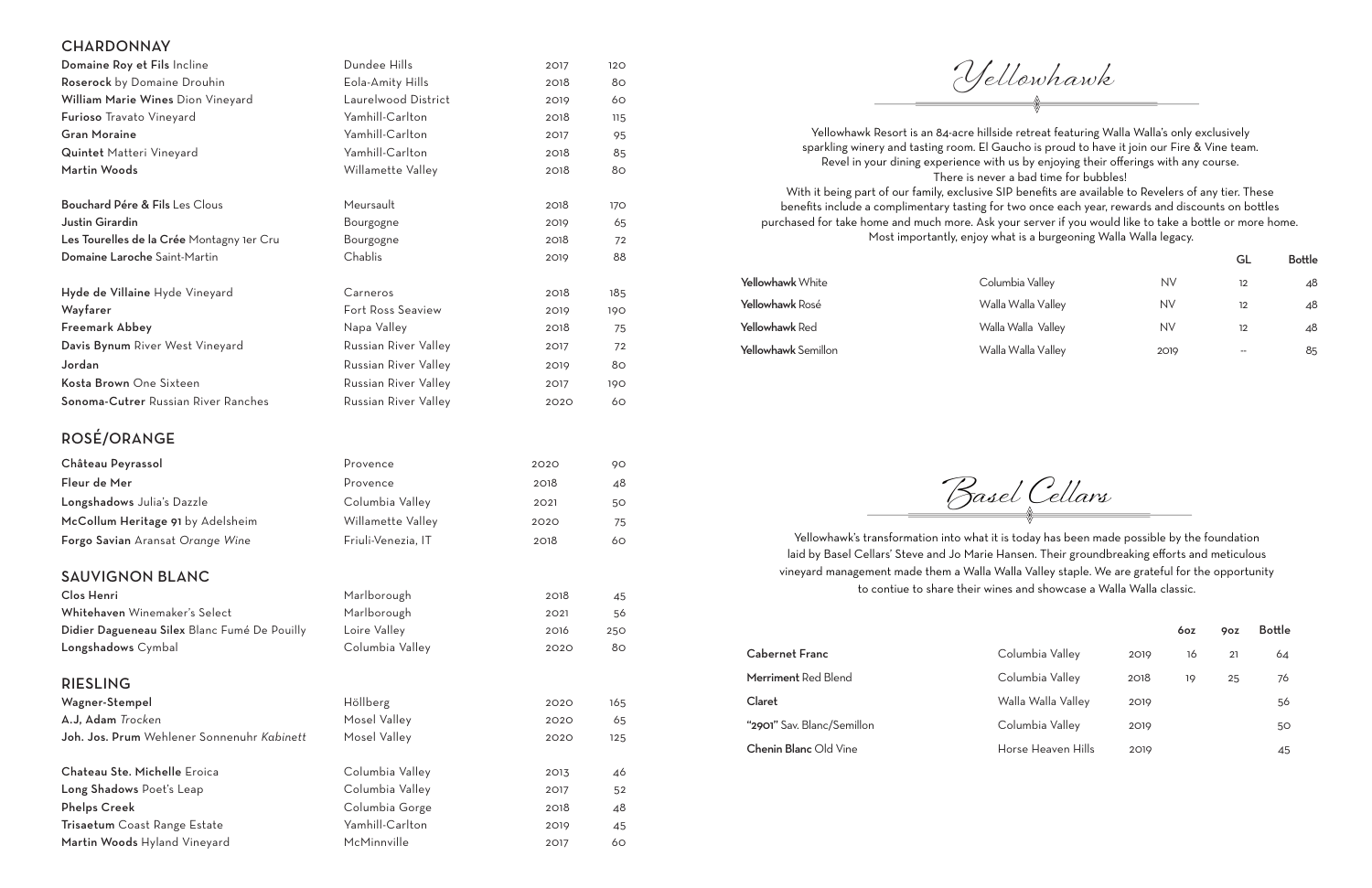## **CHARDONNAY**

| Domaine Roy et Fils Incline                  | Dundee Hills         | 2017 | 120 |
|----------------------------------------------|----------------------|------|-----|
| Roserock by Domaine Drouhin                  | Eola-Amity Hills     | 2018 | 80  |
| William Marie Wines Dion Vineyard            | Laurelwood District  | 2019 | 60  |
| Furioso Travato Vineyard                     | Yamhill-Carlton      | 2018 | 115 |
| <b>Gran Moraine</b>                          | Yamhill-Carlton      | 2017 | 95  |
| Quintet Matteri Vineyard                     | Yamhill-Carlton      | 2018 | 85  |
| Martin Woods                                 | Willamette Valley    | 2018 | 80  |
| Bouchard Pére & Fils Les Clous               | Meursault            | 2018 | 170 |
| Justin Girardin                              | Bourgogne            | 2019 | 65  |
| Les Tourelles de la Crée Montagny 1er Cru    | Bourgogne            | 2018 | 72  |
| Domaine Laroche Saint-Martin                 | Chablis              | 2019 | 88  |
| Hyde de Villaine Hyde Vineyard               | Carneros             | 2018 | 185 |
| Wayfarer                                     | Fort Ross Seaview    | 2019 | 190 |
| Freemark Abbey                               | Napa Valley          | 2018 | 75  |
| Davis Bynum River West Vineyard              | Russian River Valley | 2017 | 72  |
| Jordan                                       | Russian River Valley | 2019 | 80  |
| Kosta Brown One Sixteen                      | Russian River Valley | 2017 | 190 |
| Sonoma-Cutrer Russian River Ranches          | Russian River Valley | 2020 | 60  |
| ROSÉ/ORANGE                                  |                      |      |     |
| Château Peyrassol                            | Provence             | 2020 | 90  |
| Fleur de Mer                                 | Provence             | 2018 | 48  |
| Longshadows Julia's Dazzle                   | Columbia Valley      | 2021 | 50  |
| McCollum Heritage 91 by Adelsheim            | Willamette Valley    | 2020 | 75  |
| Forgo Savian Aransat Orange Wine             | Friuli-Venezia, IT   | 2018 | 60  |
| <b>SAUVIGNON BLANC</b>                       |                      |      |     |
| Clos Henri                                   | Marlborough          | 2018 | 45  |
| Whitehaven Winemaker's Select                | Marlborough          | 2021 | 56  |
| Didier Dagueneau Silex Blanc Fumé De Pouilly | Loire Valley         | 2016 | 250 |
| Longshadows Cymbal                           | Columbia Valley      | 2020 | 80  |
| <b>RIESLING</b>                              |                      |      |     |

Martin Woods Hyland Vineyard McMinnville 2017 60

Wagner-Stempel Höllberg Höllberg 2020 165 A.J, Adam *Trocken* 65 Joh. Jos. Prum Wehlener Sonnenuhr *Kabinett* Mosel Valley 2020 125 Chateau Ste. Michelle Eroica **Columbia Valley** 2013 46 Long Shadows Poet's Leap Columbia Valley 2017 52 Phelps Creek and Columbia Gorge 2018 48 Trisaetum Coast Range Estate Yamhill-Carlton 2019 45

Yellowhawk's transformation into what it is today has been made possible by the foundation laid by Basel Cellars' Steve and Jo Marie Hansen. Their groundbreaking efforts and meticulous vineyard management made them a Walla Walla Valley staple. We are grateful for the opportunity to contiue to share their wines and showcase a Walla Walla classic.

|                            |                    |      | 6oz | 9oz | <b>Bottle</b> |
|----------------------------|--------------------|------|-----|-----|---------------|
| <b>Cabernet Franc</b>      | Columbia Valley    | 2019 | 16  | 21  | 64            |
| Merriment Red Blend        | Columbia Valley    | 2018 | 19  | 25  | 76            |
| Claret                     | Walla Walla Valley | 2019 |     |     | 56            |
| "2901" Sav. Blanc/Semillon | Columbia Valley    | 2019 |     |     | 50            |
| Chenin Blanc Old Vine      | Horse Heaven Hills | 2019 |     |     | 45            |

Yellowhawk Resort is an 84-acre hillside retreat featuring Walla Walla's only exclusively sparkling winery and tasting room. El Gaucho is proud to have it join our Fire & Vine team. Revel in your dining experience with us by enjoying their offerings with any course. There is never a bad time for bubbles! With it being part of our family, exclusive SIP benefits are available to Revelers of any tier. These benefits include a complimentary tasting for two once each year, rewards and discounts on bottles purchased for take home and much more. Ask your server if you would like to take a bottle or more home. Most importantly, enjoy what is a burgeoning Walla Walla legacy.

|                     |                    |           | GL                | <b>Bottle</b> |
|---------------------|--------------------|-----------|-------------------|---------------|
| Yellowhawk White    | Columbia Valley    | <b>NV</b> | 12                | 48            |
| Yellowhawk Rosé     | Walla Walla Valley | NV        | $12 \overline{ }$ | 48            |
| Yellowhawk Red      | Walla Walla Valley | NV        | $12 \overline{ }$ | 48            |
| Yellowhawk Semillon | Walla Walla Valley | 2019      | --                | 85            |

Basel Cellars

Yellowhawk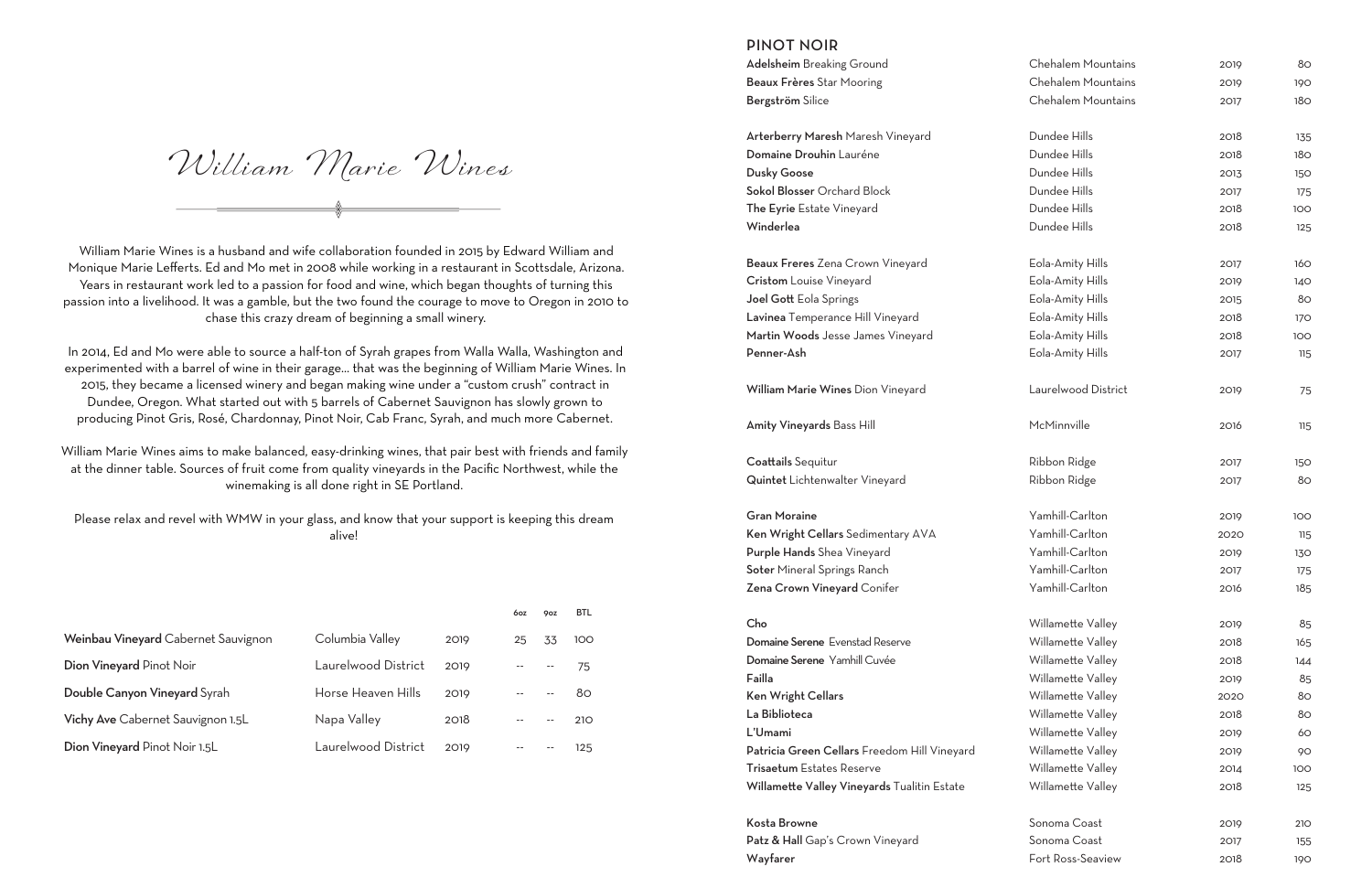## PINOT NOIR

| <b>Adelsheim</b> Breaking Ground             | Chehalem Mountains  | 2019 | 80              |  |
|----------------------------------------------|---------------------|------|-----------------|--|
| Beaux Frères Star Mooring                    | Chehalem Mountains  | 2019 | 190             |  |
| Bergström Silice                             | Chehalem Mountains  | 2017 | 18 <sub>O</sub> |  |
| Arterberry Maresh Maresh Vineyard            | Dundee Hills        | 2018 | 135             |  |
| Domaine Drouhin Lauréne                      | Dundee Hills        | 2018 | 180             |  |
| <b>Dusky Goose</b>                           | Dundee Hills        | 2013 | 150             |  |
| Sokol Blosser Orchard Block                  | Dundee Hills        | 2017 | 175             |  |
| The Eyrie Estate Vineyard                    | Dundee Hills        | 2018 | 100             |  |
| Winderlea                                    | Dundee Hills        | 2018 | 125             |  |
| Beaux Freres Zena Crown Vineyard             | Eola-Amity Hills    | 2017 | 160             |  |
| <b>Cristom</b> Louise Vineyard               | Eola-Amity Hills    | 2019 | 140             |  |
| Joel Gott Eola Springs                       | Eola-Amity Hills    | 2015 | 80              |  |
| Lavinea Temperance Hill Vineyard             | Eola-Amity Hills    | 2018 | 170             |  |
| Martin Woods Jesse James Vineyard            | Eola-Amity Hills    | 2018 | 100             |  |
| Penner-Ash                                   | Eola-Amity Hills    | 2017 | 115             |  |
| William Marie Wines Dion Vineyard            | Laurelwood District | 2019 | 75              |  |
| Amity Vineyards Bass Hill                    | McMinnville         | 2016 | 115             |  |
| Coattails Sequitur                           | Ribbon Ridge        | 2017 | 150             |  |
| Quintet Lichtenwalter Vineyard               | Ribbon Ridge        | 2017 | 80              |  |
| <b>Gran Moraine</b>                          | Yamhill-Carlton     | 2019 | 100             |  |
| Ken Wright Cellars Sedimentary AVA           | Yamhill-Carlton     | 2020 | 115             |  |
| Purple Hands Shea Vineyard                   | Yamhill-Carlton     | 2019 | 130             |  |
| Soter Mineral Springs Ranch                  | Yamhill-Carlton     | 2017 | 175             |  |
| Zena Crown Vineyard Conifer                  | Yamhill-Carlton     | 2016 | 185             |  |
| Cho                                          | Willamette Valley   | 2019 | 85              |  |
| Domaine Serene Evenstad Reserve              | Willamette Valley   | 2018 | 165             |  |
| Domaine Serene Yamhill Cuvée                 | Willamette Valley   | 2018 | 144             |  |
| Failla                                       | Willamette Valley   | 2019 | 85              |  |
| Ken Wright Cellars                           | Willamette Valley   | 2020 | 80              |  |
| La Biblioteca                                | Willamette Valley   | 2018 | 80              |  |
| L'Umami                                      | Willamette Valley   | 2019 | 60              |  |
| Patricia Green Cellars Freedom Hill Vineyard | Willamette Valley   | 2019 | 90              |  |
| Trisaetum Estates Reserve                    | Willamette Valley   | 2014 | 100             |  |
| Willamette Valley Vineyards Tualitin Estate  | Willamette Valley   | 2018 | 125             |  |
| Kosta Browne                                 | Sonoma Coast        | 2019 | <b>210</b>      |  |
| Patz & Hall Gap's Crown Vineyard             | Sonoma Coast        | 2017 | 155             |  |
| Wayfarer                                     | Fort Ross-Seaview   | 2018 | 190             |  |

William Marie Wines is a husband and wife collaboration founded in 2015 by Edward William and Monique Marie Lefferts. Ed and Mo met in 2008 while working in a restaurant in Scottsdale, Arizona. Years in restaurant work led to a passion for food and wine, which began thoughts of turning this passion into a livelihood. It was a gamble, but the two found the courage to move to Oregon in 2010 to chase this crazy dream of beginning a small winery.

In 2014, Ed and Mo were able to source a half-ton of Syrah grapes from Walla Walla, Washington and experimented with a barrel of wine in their garage… that was the beginning of William Marie Wines. In 2015, they became a licensed winery and began making wine under a "custom crush" contract in Dundee, Oregon. What started out with 5 barrels of Cabernet Sauvignon has slowly grown to producing Pinot Gris, Rosé, Chardonnay, Pinot Noir, Cab Franc, Syrah, and much more Cabernet.

William Marie Wines aims to make balanced, easy-drinking wines, that pair best with friends and family at the dinner table. Sources of fruit come from quality vineyards in the Pacific Northwest, while the winemaking is all done right in SE Portland.

Please relax and revel with WMW in your glass, and know that your support is keeping this dream alive!

William Marie Wines

|                                     |                     |      | 6oz | 9oz | <b>BTL</b> |
|-------------------------------------|---------------------|------|-----|-----|------------|
| Weinbau Vineyard Cabernet Sauvignon | Columbia Valley     | 2019 | 25  | 33  | 100        |
| Dion Vineyard Pinot Noir            | Laurelwood District | 2019 |     |     | 75         |
| Double Canyon Vineyard Syrah        | Horse Heaven Hills  | 2019 |     |     | 80.        |
| Vichy Ave Cabernet Sauvignon 1.5L   | Napa Valley         | 2018 |     |     | 210        |
| Dion Vineyard Pinot Noir 1.5L       | Laurelwood District | 2019 |     |     | 125        |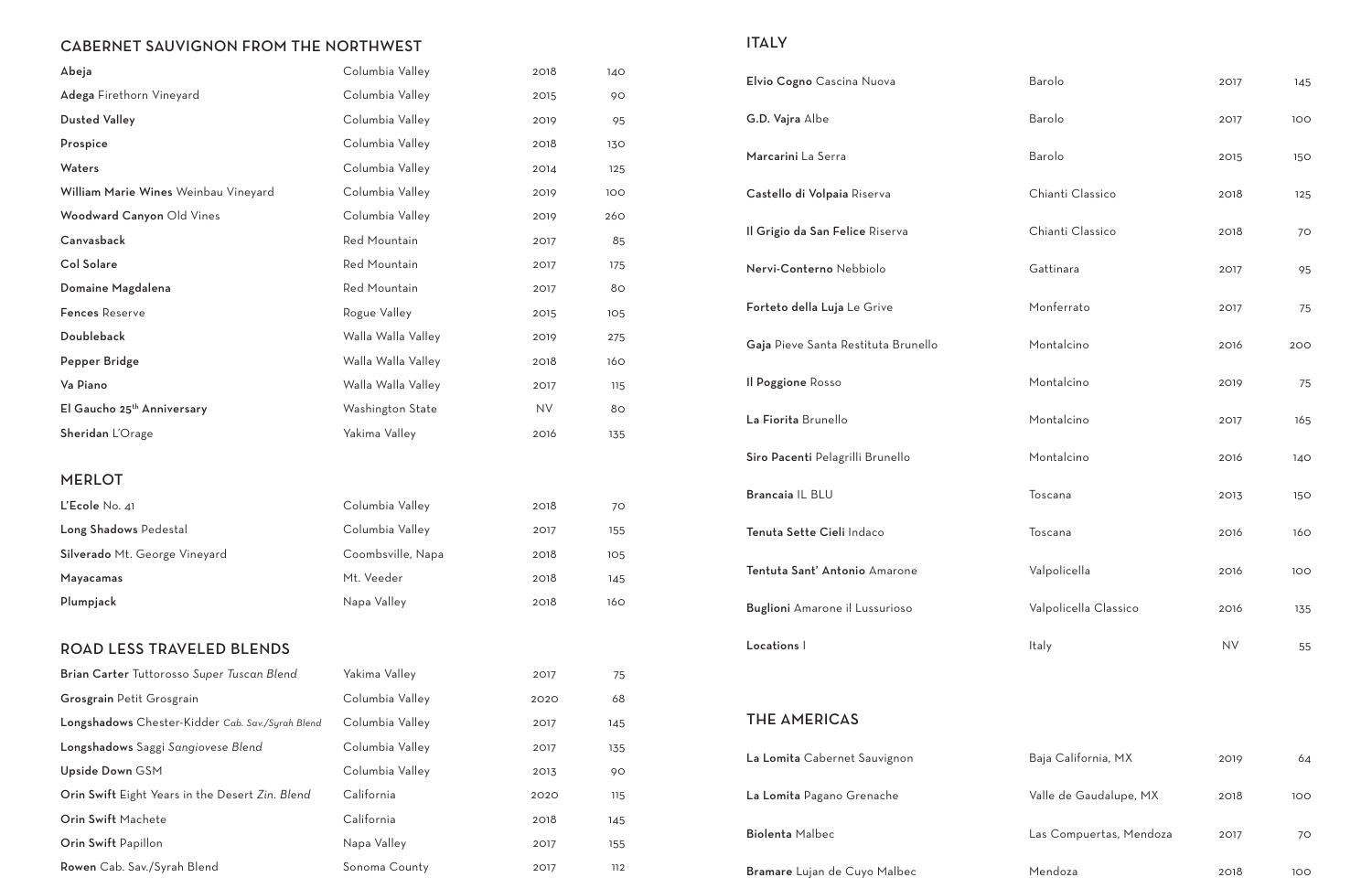## CABERNET SAUVIGNON FROM THE NORTHWEST

| Abeja                                                                   | Columbia Valley    | 2018      | 140      | Elvio Cogno Cascina Nuova           |
|-------------------------------------------------------------------------|--------------------|-----------|----------|-------------------------------------|
| Adega Firethorn Vineyard                                                | Columbia Valley    | 2015      | 90       |                                     |
| <b>Dusted Valley</b>                                                    | Columbia Valley    | 2019      | 95       | G.D. Vajra Albe                     |
| Prospice                                                                | Columbia Valley    | 2018      | 130      | Marcarini La Serra                  |
| Waters                                                                  | Columbia Valley    | 2014      | 125      |                                     |
| William Marie Wines Weinbau Vineyard                                    | Columbia Valley    | 2019      | 100      | Castello di Volpaia Riserva         |
| Woodward Canyon Old Vines                                               | Columbia Valley    | 2019      | 260      |                                     |
| Canvasback                                                              | Red Mountain       | 2017      | 85       | Il Grigio da San Felice Riserva     |
| <b>Col Solare</b>                                                       | Red Mountain       | 2017      | 175      | Nervi-Conterno Nebbiolo             |
| Domaine Magdalena                                                       | Red Mountain       | 2017      | 80       |                                     |
| <b>Fences Reserve</b>                                                   | Rogue Valley       | 2015      | 105      | Forteto della Luja Le Grive         |
| Doubleback                                                              | Walla Walla Valley | 2019      | 275      | Gaja Pieve Santa Restituta Brunello |
| Pepper Bridge                                                           | Walla Walla Valley | 2018      | 160      |                                     |
| Va Piano                                                                | Walla Walla Valley | 2017      | 115      | <b>Il Poggione Rosso</b>            |
| El Gaucho 25 <sup>th</sup> Anniversary                                  | Washington State   | <b>NV</b> | 80       | La Fiorita Brunello                 |
| Sheridan L'Orage                                                        | Yakima Valley      | 2016      | 135      |                                     |
|                                                                         |                    |           |          | Siro Pacenti Pelagrilli Brunello    |
| <b>MERLOT</b>                                                           |                    |           |          |                                     |
| L'Ecole No. 41                                                          | Columbia Valley    | 2018      | 70       | Brancaia IL BLU                     |
| Long Shadows Pedestal                                                   | Columbia Valley    | 2017      | 155      | Tenuta Sette Cieli Indaco           |
| Silverado Mt. George Vineyard                                           | Coombsville, Napa  | 2018      | 105      |                                     |
| Mayacamas                                                               | Mt. Veeder         | 2018      | 145      | Tentuta Sant' Antonio Amarone       |
| Plumpjack                                                               | Napa Valley        | 2018      | 160      | Buglioni Amarone il Lussurioso      |
| ROAD LESS TRAVELED BLENDS                                               |                    |           |          | Locations I                         |
|                                                                         | Yakima Valley      |           |          |                                     |
| Brian Carter Tuttorosso Super Tuscan Blend<br>Grosgrain Petit Grosgrain | Columbia Valley    | 2017      | 75<br>68 |                                     |
|                                                                         | Columbia Valley    | 2020      |          | <b>THE AMERICAS</b>                 |
| Longshadows Chester-Kidder Cab. Sav./Syrah Blend                        |                    | 2017      | 145      |                                     |
| Longshadows Saggi Sangiovese Blend                                      | Columbia Valley    | 2017      | 135      | La Lomita Cabernet Sauvignon        |
| Upside Down GSM                                                         | Columbia Valley    | 2013      | 90       |                                     |
| Orin Swift Eight Years in the Desert Zin. Blend                         | California         | 2020      | 115      | La Lomita Pagano Grenache           |
| Orin Swift Machete                                                      | California         | 2018      | 145      | <b>Biolenta Malbec</b>              |
| Orin Swift Papillon                                                     | Napa Valley        | 2017      | 155      |                                     |
| Rowen Cab. Sav./Syrah Blend                                             | Sonoma County      | 2017      | 112      | Bramare Lujan de Cuyo Malbec        |

# ITALY

| Elvio Cogno Cascina Nuova             | Barolo                | 2017       | 145 |
|---------------------------------------|-----------------------|------------|-----|
| G.D. Vajra Albe                       | Barolo                | 2017       | 100 |
| Marcarini La Serra                    | Barolo                | 2015       | 150 |
| Castello di Volpaia Riserva           | Chianti Classico      | 2018       | 125 |
| Il Grigio da San Felice Riserva       | Chianti Classico      | 2018       | 70  |
| Nervi-Conterno Nebbiolo               | Gattinara             | 2017       | 95  |
| Forteto della Luja Le Grive           | Monferrato            | 2017       | 75  |
| Gaja Pieve Santa Restituta Brunello   | Montalcino            | 2016       | 200 |
| Il Poggione Rosso                     | Montalcino            | 2019       | 75  |
| La Fiorita Brunello                   | Montalcino            | 2017       | 165 |
| Siro Pacenti Pelagrilli Brunello      | Montalcino            | 2016       | 140 |
| Brancaia IL BLU                       | Toscana               | 2013       | 150 |
| Tenuta Sette Cieli Indaco             | Toscana               | 2016       | 160 |
| Tentuta Sant' Antonio Amarone         | Valpolicella          | 2016       | 100 |
| <b>Buglioni</b> Amarone il Lussurioso | Valpolicella Classico | 2016       | 135 |
| Locations                             | Italy                 | ${\sf NV}$ | 55  |

| La Lomita Cabernet Sauvignon | Baja California, MX     | 2019 | 64  |
|------------------------------|-------------------------|------|-----|
| La Lomita Pagano Grenache    | Valle de Gaudalupe, MX  | 2018 | 100 |
| <b>Biolenta</b> Malbec       | Las Compuertas, Mendoza | 2017 | 70  |
| Bramare Lujan de Cuyo Malbec | Mendoza                 | 2018 | 100 |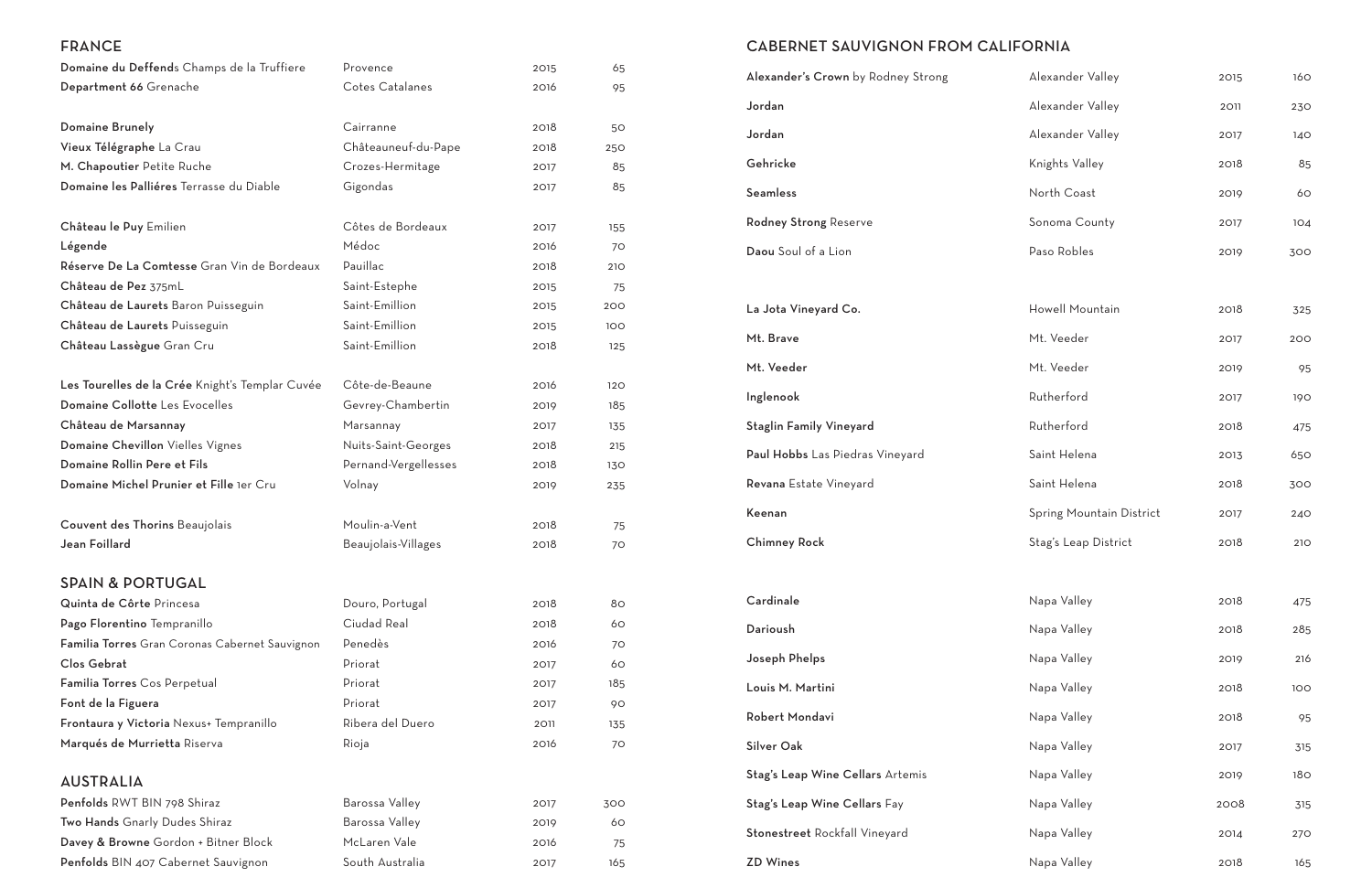# CABERNET SAUVIGNON FROM CALIFORNIA

| Alexander's Crown by Rodney Strong | Alexander Valley         | 2015 | 160 |
|------------------------------------|--------------------------|------|-----|
| Jordan                             | Alexander Valley         | 2011 | 230 |
| Jordan                             | Alexander Valley         | 2017 | 140 |
| Gehricke                           | Knights Valley           | 2018 | 85  |
| Seamless                           | North Coast              | 2019 | 60  |
| <b>Rodney Strong Reserve</b>       | Sonoma County            | 2017 | 104 |
| Daou Soul of a Lion                | Paso Robles              | 2019 | 300 |
|                                    |                          |      |     |
| La Jota Vineyard Co.               | Howell Mountain          | 2018 | 325 |
| Mt. Brave                          | Mt. Veeder               | 2017 | 200 |
| Mt. Veeder                         | Mt. Veeder               | 2019 | 95  |
| Inglenook                          | Rutherford               | 2017 | 190 |
| <b>Staglin Family Vineyard</b>     | Rutherford               | 2018 | 475 |
| Paul Hobbs Las Piedras Vineyard    | Saint Helena             | 2013 | 650 |
| Revana Estate Vineyard             | Saint Helena             | 2018 | 300 |
| Keenan                             | Spring Mountain District | 2017 | 240 |
| Chimney Rock                       | Stag's Leap District     | 2018 | 210 |
|                                    |                          |      |     |
| Cardinale                          | Napa Valley              | 2018 | 475 |
| Darioush                           | Napa Valley              | 2018 | 285 |
| Joseph Phelps                      | Napa Valley              | 2019 | 216 |
| Louis M. Martini                   | Napa Valley              | 2018 | 100 |
| Robert Mondavi                     | Napa Valley              | 2018 | 95  |
| Silver Oak                         | Napa Valley              | 2017 | 315 |
| Stag's Leap Wine Cellars Artemis   | Napa Valley              | 2019 | 180 |
| Stag's Leap Wine Cellars Fay       | Napa Valley              | 2008 | 315 |
| Stonestreet Rockfall Vineyard      | Napa Valley              | 2014 | 270 |
| <b>ZD Wines</b>                    | Napa Valley              | 2018 | 165 |

# FRANCE

| Domaine du Deffends Champs de la Truffiere      | Provence             | 2015 | 65  | Alexander's Crown by Rodney Strong |
|-------------------------------------------------|----------------------|------|-----|------------------------------------|
| Department 66 Grenache                          | Cotes Catalanes      | 2016 | 95  |                                    |
|                                                 |                      |      |     | Jordan                             |
| <b>Domaine Brunely</b>                          | Cairranne            | 2018 | 50  | Jordan                             |
| Vieux Télégraphe La Crau                        | Châteauneuf-du-Pape  | 2018 | 250 |                                    |
| M. Chapoutier Petite Ruche                      | Crozes-Hermitage     | 2017 | 85  | Gehricke                           |
| Domaine les Palliéres Terrasse du Diable        | Gigondas             | 2017 | 85  | <b>Seamless</b>                    |
| Château le Puy Emilien                          | Côtes de Bordeaux    | 2017 | 155 | <b>Rodney Strong Reserve</b>       |
| Légende                                         | Médoc                | 2016 | 70  | Daou Soul of a Lion                |
| Réserve De La Comtesse Gran Vin de Bordeaux     | Pauillac             | 2018 | 210 |                                    |
| Château de Pez 375mL                            | Saint-Estephe        | 2015 | 75  |                                    |
| Château de Laurets Baron Puisseguin             | Saint-Emillion       | 2015 | 200 | La Jota Vineyard Co.               |
| Château de Laurets Puisseguin                   | Saint-Emillion       | 2015 | 100 |                                    |
| Château Lassègue Gran Cru                       | Saint-Emillion       | 2018 | 125 | Mt. Brave                          |
|                                                 |                      |      |     | Mt. Veeder                         |
| Les Tourelles de la Crée Knight's Templar Cuvée | Côte-de-Beaune       | 2016 | 120 |                                    |
| Domaine Collotte Les Evocelles                  | Gevrey-Chambertin    | 2019 | 185 | Inglenook                          |
| Château de Marsannay                            | Marsannay            | 2017 | 135 | <b>Staglin Family Vineyard</b>     |
| Domaine Chevillon Vielles Vignes                | Nuits-Saint-Georges  | 2018 | 215 |                                    |
| Domaine Rollin Pere et Fils                     | Pernand-Vergellesses | 2018 | 130 | Paul Hobbs Las Piedras Vineyard    |
| Domaine Michel Prunier et Fille 1er Cru         | Volnay               | 2019 | 235 | Revana Estate Vineyard             |
|                                                 |                      |      |     | Keenan                             |
| Couvent des Thorins Beaujolais                  | Moulin-a-Vent        | 2018 | 75  |                                    |
| Jean Foillard                                   | Beaujolais-Villages  | 2018 | 70  | <b>Chimney Rock</b>                |
| <b>SPAIN &amp; PORTUGAL</b>                     |                      |      |     |                                    |
| Quinta de Côrte Princesa                        | Douro, Portugal      | 2018 | 80  | Cardinale                          |
| Pago Florentino Tempranillo                     | Ciudad Real          | 2018 | 60  | Darioush                           |
| Familia Torres Gran Coronas Cabernet Sauvignon  | Penedès              | 2016 | 70  |                                    |
| Clos Gebrat                                     | Priorat              | 2017 | 60  | Joseph Phelps                      |
| Familia Torres Cos Perpetual                    | Priorat              | 2017 | 185 | Louis M. Martini                   |
| Font de la Figuera                              | Priorat              | 2017 | 90  |                                    |
| Frontaura y Victoria Nexus+ Tempranillo         | Ribera del Duero     | 2011 | 135 | Robert Mondavi                     |
| Marqués de Murrietta Riserva                    | Rioja                | 2016 | 70  | Silver Oak                         |
| <b>AUSTRALIA</b>                                |                      |      |     | Stag's Leap Wine Cellars Artemis   |
| Penfolds RWT BIN 798 Shiraz                     | Barossa Valley       | 2017 | 300 | Stag's Leap Wine Cellars Fay       |
| Two Hands Gnarly Dudes Shiraz                   | Barossa Valley       | 2019 | 60  |                                    |
| Davey & Browne Gordon + Bitner Block            | McLaren Vale         | 2016 | 75  | Stonestreet Rockfall Vineyard      |
| Penfolds BIN 407 Cabernet Sauvignon             | South Australia      | 2017 | 165 | <b>ZD Wines</b>                    |